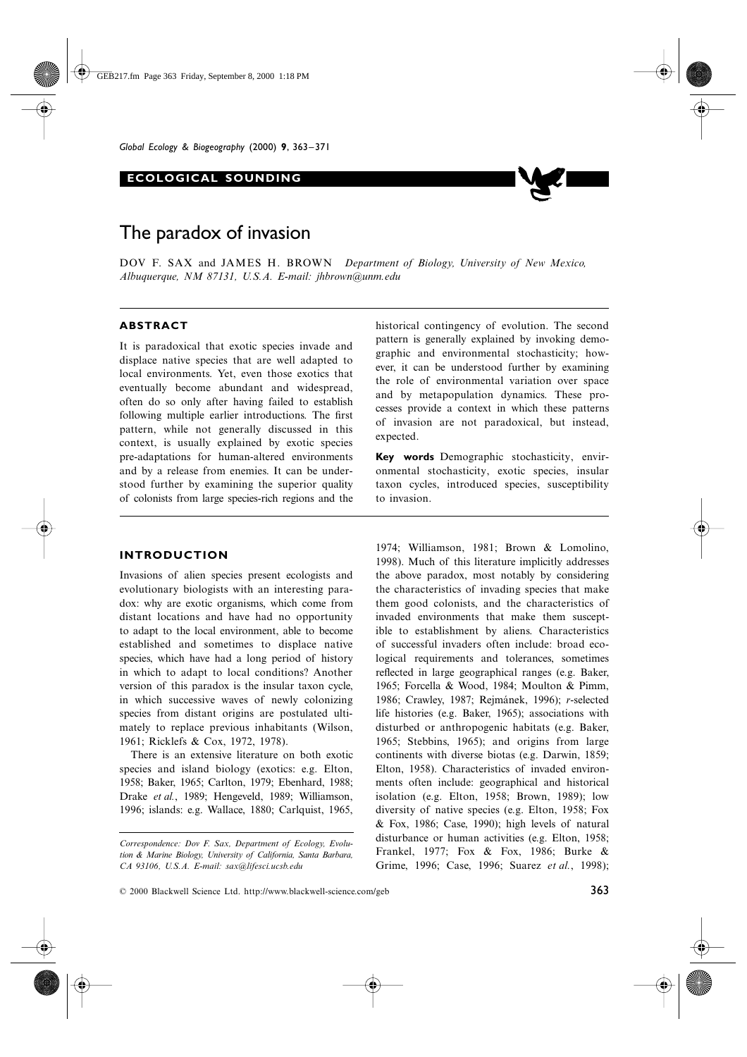# **ECOLOGICAL SOUNDING**



DOV F. SAX and JAMES H. BROWN *Department of Biology, University of New Mexico, Albuquerque, NM 87131, U.S.A. E-mail: jhbrown@unm.edu*

#### **ABSTRACT**

It is paradoxical that exotic species invade and displace native species that are well adapted to local environments. Yet, even those exotics that eventually become abundant and widespread, often do so only after having failed to establish following multiple earlier introductions. The first pattern, while not generally discussed in this context, is usually explained by exotic species pre-adaptations for human-altered environments and by a release from enemies. It can be understood further by examining the superior quality of colonists from large species-rich regions and the

## **INTRODUCTION**

Invasions of alien species present ecologists and evolutionary biologists with an interesting paradox: why are exotic organisms, which come from distant locations and have had no opportunity to adapt to the local environment, able to become established and sometimes to displace native species, which have had a long period of history in which to adapt to local conditions? Another version of this paradox is the insular taxon cycle, in which successive waves of newly colonizing species from distant origins are postulated ultimately to replace previous inhabitants (Wilson, 1961; Ricklefs & Cox, 1972, 1978).

There is an extensive literature on both exotic species and island biology (exotics: e.g. Elton, 1958; Baker, 1965; Carlton, 1979; Ebenhard, 1988; Drake *et al.*, 1989; Hengeveld, 1989; Williamson, 1996; islands: e.g. Wallace, 1880; Carlquist, 1965,

historical contingency of evolution. The second pattern is generally explained by invoking demographic and environmental stochasticity; however, it can be understood further by examining the role of environmental variation over space and by metapopulation dynamics. These processes provide a context in which these patterns of invasion are not paradoxical, but instead, expected.

**Key words** Demographic stochasticity, environmental stochasticity, exotic species, insular taxon cycles, introduced species, susceptibility to invasion.

1974; Williamson, 1981; Brown & Lomolino, 1998). Much of this literature implicitly addresses the above paradox, most notably by considering the characteristics of invading species that make them good colonists, and the characteristics of invaded environments that make them susceptible to establishment by aliens. Characteristics of successful invaders often include: broad ecological requirements and tolerances, sometimes reflected in large geographical ranges (e.g. Baker, 1965; Forcella & Wood, 1984; Moulton & Pimm, 1986; Crawley, 1987; Rejmánek, 1996); *r*-selected life histories (e.g. Baker, 1965); associations with disturbed or anthropogenic habitats (e.g. Baker, 1965; Stebbins, 1965); and origins from large continents with diverse biotas (e.g. Darwin, 1859; Elton, 1958). Characteristics of invaded environments often include: geographical and historical isolation (e.g. Elton, 1958; Brown, 1989); low diversity of native species (e.g. Elton, 1958; Fox & Fox, 1986; Case, 1990); high levels of natural disturbance or human activities (e.g. Elton, 1958; Frankel, 1977; Fox & Fox, 1986; Burke & Grime, 1996; Case, 1996; Suarez *et al.*, 1998);

*Correspondence: Dov F. Sax, Department of Ecology, Evolution & Marine Biology, University of California, Santa Barbara, CA 93106, U.S.A. E-mail: sax@lifesci.ucsb.edu*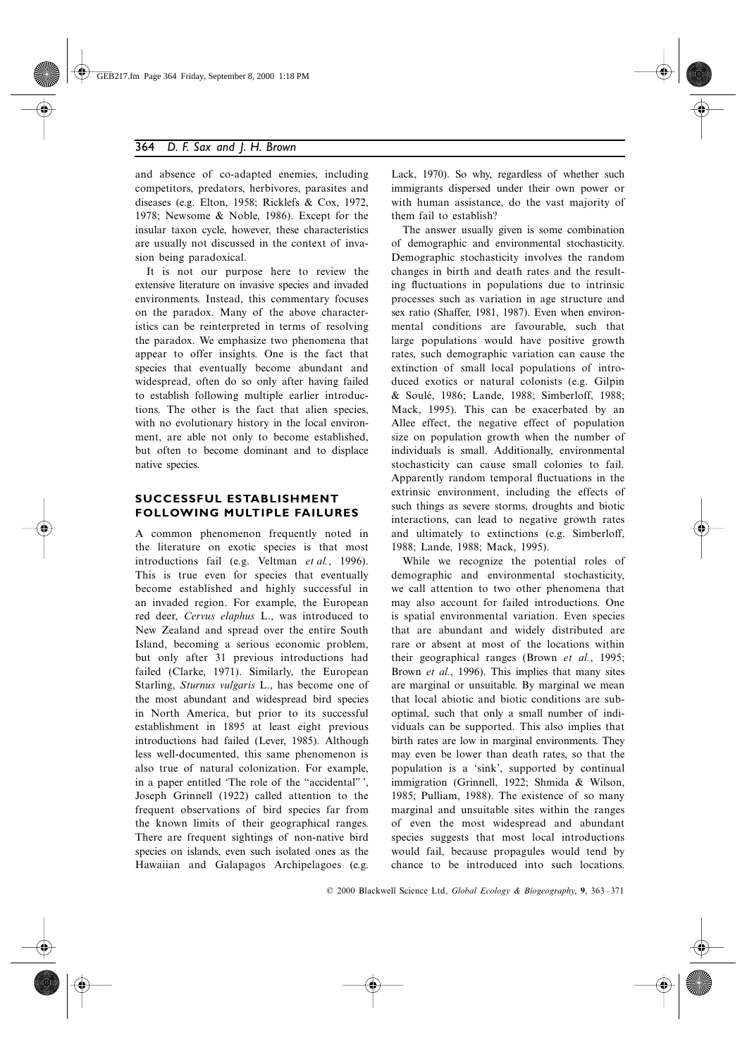and absence of co-adapted enemies, including competitors, predators, herbivores, parasites and diseases (e.g. Elton, 1958; Ricklefs & Cox, 1972, 1978; Newsome & Noble, 1986). Except for the insular taxon cycle, however, these characteristics are usually not discussed in the context of invasion being paradoxical.

It is not our purpose here to review the extensive literature on invasive species and invaded environments. Instead, this commentary focuses on the paradox. Many of the above characteristics can be reinterpreted in terms of resolving the paradox. We emphasize two phenomena that appear to offer insights. One is the fact that species that eventually become abundant and widespread, often do so only after having failed to establish following multiple earlier introductions. The other is the fact that alien species, with no evolutionary history in the local environment, are able not only to become established, but often to become dominant and to displace native species.

### **SUCCESSFUL ESTABLISHMENT FOLLOWING MULTIPLE FAILURES**

A common phenomenon frequently noted in the literature on exotic species is that most introductions fail (e.g. Veltman *et al.*, 1996). This is true even for species that eventually become established and highly successful in an invaded region. For example, the European red deer, *Cervus elaphus* L., was introduced to New Zealand and spread over the entire South Island, becoming a serious economic problem, but only after 31 previous introductions had failed (Clarke, 1971). Similarly, the European Starling, *Sturnus vulgaris* L., has become one of the most abundant and widespread bird species in North America, but prior to its successful establishment in 1895 at least eight previous introductions had failed (Lever, 1985). Although less well-documented, this same phenomenon is also true of natural colonization. For example, in a paper entitled 'The role of the "accidental" ', Joseph Grinnell (1922) called attention to the frequent observations of bird species far from the known limits of their geographical ranges. There are frequent sightings of non-native bird species on islands, even such isolated ones as the Hawaiian and Galapagos Archipelagoes (e.g.

Lack, 1970). So why, regardless of whether such immigrants dispersed under their own power or with human assistance, do the vast majority of them fail to establish?

The answer usually given is some combination of demographic and environmental stochasticity. Demographic stochasticity involves the random changes in birth and death rates and the resulting fluctuations in populations due to intrinsic processes such as variation in age structure and sex ratio (Shaffer, 1981, 1987). Even when environmental conditions are favourable, such that large populations would have positive growth rates, such demographic variation can cause the extinction of small local populations of introduced exotics or natural colonists (e.g. Gilpin & Soulé, 1986; Lande, 1988; Simberloff, 1988; Mack, 1995). This can be exacerbated by an Allee effect, the negative effect of population size on population growth when the number of individuals is small. Additionally, environmental stochasticity can cause small colonies to fail. Apparently random temporal fluctuations in the extrinsic environment, including the effects of such things as severe storms, droughts and biotic interactions, can lead to negative growth rates and ultimately to extinctions (e.g. Simberloff, 1988; Lande, 1988; Mack, 1995).

While we recognize the potential roles of demographic and environmental stochasticity, we call attention to two other phenomena that may also account for failed introductions. One is spatial environmental variation. Even species that are abundant and widely distributed are rare or absent at most of the locations within their geographical ranges (Brown *et al.*, 1995; Brown *et al.*, 1996). This implies that many sites are marginal or unsuitable. By marginal we mean that local abiotic and biotic conditions are suboptimal, such that only a small number of individuals can be supported. This also implies that birth rates are low in marginal environments. They may even be lower than death rates, so that the population is a 'sink', supported by continual immigration (Grinnell, 1922; Shmida & Wilson, 1985; Pulliam, 1988). The existence of so many marginal and unsuitable sites within the ranges of even the most widespread and abundant species suggests that most local introductions would fail, because propagules would tend by chance to be introduced into such locations.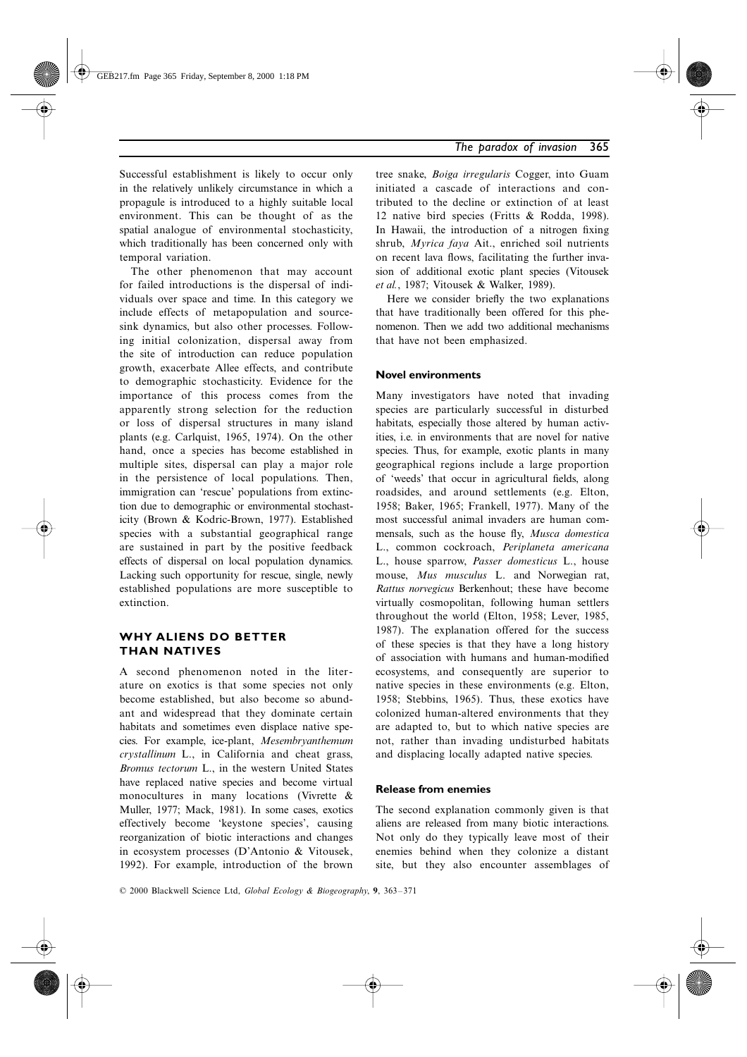The other phenomenon that may account for failed introductions is the dispersal of individuals over space and time. In this category we include effects of metapopulation and sourcesink dynamics, but also other processes. Following initial colonization, dispersal away from the site of introduction can reduce population growth, exacerbate Allee effects, and contribute to demographic stochasticity. Evidence for the importance of this process comes from the apparently strong selection for the reduction or loss of dispersal structures in many island plants (e.g. Carlquist, 1965, 1974). On the other hand, once a species has become established in multiple sites, dispersal can play a major role in the persistence of local populations. Then, immigration can 'rescue' populations from extinction due to demographic or environmental stochasticity (Brown & Kodric-Brown, 1977). Established species with a substantial geographical range are sustained in part by the positive feedback effects of dispersal on local population dynamics. Lacking such opportunity for rescue, single, newly established populations are more susceptible to extinction.

# **WHY ALIENS DO BETTER THAN NATIVES**

A second phenomenon noted in the literature on exotics is that some species not only become established, but also become so abundant and widespread that they dominate certain habitats and sometimes even displace native species. For example, ice-plant, *Mesembryanthemum crystallinum* L., in California and cheat grass, *Bromus tectorum* L., in the western United States have replaced native species and become virtual monocultures in many locations (Vivrette & Muller, 1977; Mack, 1981). In some cases, exotics effectively become 'keystone species', causing reorganization of biotic interactions and changes in ecosystem processes (D'Antonio & Vitousek, 1992). For example, introduction of the brown

initiated a cascade of interactions and contributed to the decline or extinction of at least 12 native bird species (Fritts & Rodda, 1998). In Hawaii, the introduction of a nitrogen fixing shrub, *Myrica faya* Ait., enriched soil nutrients on recent lava flows, facilitating the further invasion of additional exotic plant species (Vitousek *et al.*, 1987; Vitousek & Walker, 1989). Here we consider briefly the two explanations

tree snake, *Boiga irregularis* Cogger, into Guam

that have traditionally been offered for this phenomenon. Then we add two additional mechanisms that have not been emphasized.

### **Novel environments**

Many investigators have noted that invading species are particularly successful in disturbed habitats, especially those altered by human activities, i.e. in environments that are novel for native species. Thus, for example, exotic plants in many geographical regions include a large proportion of 'weeds' that occur in agricultural fields, along roadsides, and around settlements (e.g. Elton, 1958; Baker, 1965; Frankell, 1977). Many of the most successful animal invaders are human commensals, such as the house fly, *Musca domestica* L., common cockroach, *Periplaneta americana* L., house sparrow, *Passer domesticus* L., house mouse, *Mus musculus* L. and Norwegian rat, *Rattus norvegicus* Berkenhout; these have become virtually cosmopolitan, following human settlers throughout the world (Elton, 1958; Lever, 1985, 1987). The explanation offered for the success of these species is that they have a long history of association with humans and human-modified ecosystems, and consequently are superior to native species in these environments (e.g. Elton, 1958; Stebbins, 1965). Thus, these exotics have colonized human-altered environments that they are adapted to, but to which native species are not, rather than invading undisturbed habitats and displacing locally adapted native species.

### **Release from enemies**

The second explanation commonly given is that aliens are released from many biotic interactions. Not only do they typically leave most of their enemies behind when they colonize a distant site, but they also encounter assemblages of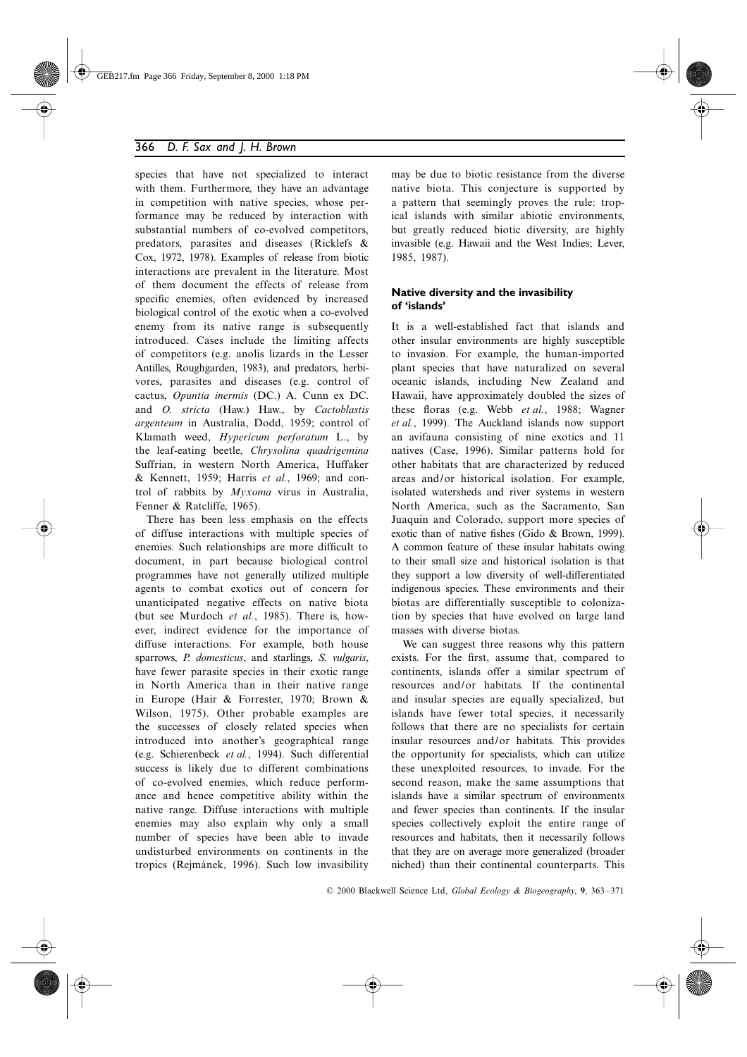species that have not specialized to interact with them. Furthermore, they have an advantage in competition with native species, whose performance may be reduced by interaction with substantial numbers of co-evolved competitors, predators, parasites and diseases (Ricklefs & Cox, 1972, 1978). Examples of release from biotic interactions are prevalent in the literature. Most of them document the effects of release from specific enemies, often evidenced by increased biological control of the exotic when a co-evolved enemy from its native range is subsequently introduced. Cases include the limiting affects of competitors (e.g. anolis lizards in the Lesser Antilles, Roughgarden, 1983), and predators, herbivores, parasites and diseases (e.g. control of cactus, *Opuntia inermis* (DC.) A. Cunn ex DC. and *O. stricta* (Haw.) Haw., by *Cactoblastis argenteum* in Australia, Dodd, 1959; control of Klamath weed, *Hypericum perforatum* L., by the leaf-eating beetle, *Chrysolina quadrigemina* Suffrian, in western North America, Huffaker & Kennett, 1959; Harris *et al.*, 1969; and control of rabbits by *Myxoma* virus in Australia, Fenner & Ratcliffe, 1965).

There has been less emphasis on the effects of diffuse interactions with multiple species of enemies. Such relationships are more difficult to document, in part because biological control programmes have not generally utilized multiple agents to combat exotics out of concern for unanticipated negative effects on native biota (but see Murdoch *et al.*, 1985). There is, however, indirect evidence for the importance of diffuse interactions. For example, both house sparrows, *P. domesticus*, and starlings, *S. vulgaris*, have fewer parasite species in their exotic range in North America than in their native range in Europe (Hair & Forrester, 1970; Brown & Wilson, 1975). Other probable examples are the successes of closely related species when introduced into another's geographical range (e.g. Schierenbeck *et al.*, 1994). Such differential success is likely due to different combinations of co-evolved enemies, which reduce performance and hence competitive ability within the native range. Diffuse interactions with multiple enemies may also explain why only a small number of species have been able to invade undisturbed environments on continents in the tropics (Rejmánek, 1996). Such low invasibility

may be due to biotic resistance from the diverse native biota. This conjecture is supported by a pattern that seemingly proves the rule: tropical islands with similar abiotic environments, but greatly reduced biotic diversity, are highly invasible (e.g. Hawaii and the West Indies; Lever, 1985, 1987).

# **Native diversity and the invasibility of 'islands'**

It is a well-established fact that islands and other insular environments are highly susceptible to invasion. For example, the human-imported plant species that have naturalized on several oceanic islands, including New Zealand and Hawaii, have approximately doubled the sizes of these floras (e.g. Webb *et al.*, 1988; Wagner *et al.*, 1999). The Auckland islands now support an avifauna consisting of nine exotics and 11 natives (Case, 1996). Similar patterns hold for other habitats that are characterized by reduced areas and/or historical isolation. For example, isolated watersheds and river systems in western North America, such as the Sacramento, San Juaquin and Colorado, support more species of exotic than of native fishes (Gido & Brown, 1999). A common feature of these insular habitats owing to their small size and historical isolation is that they support a low diversity of well-differentiated indigenous species. These environments and their biotas are differentially susceptible to colonization by species that have evolved on large land masses with diverse biotas.

We can suggest three reasons why this pattern exists. For the first, assume that, compared to continents, islands offer a similar spectrum of resources and/or habitats. If the continental and insular species are equally specialized, but islands have fewer total species, it necessarily follows that there are no specialists for certain insular resources and/or habitats. This provides the opportunity for specialists, which can utilize these unexploited resources, to invade. For the second reason, make the same assumptions that islands have a similar spectrum of environments and fewer species than continents. If the insular species collectively exploit the entire range of resources and habitats, then it necessarily follows that they are on average more generalized (broader niched) than their continental counterparts. This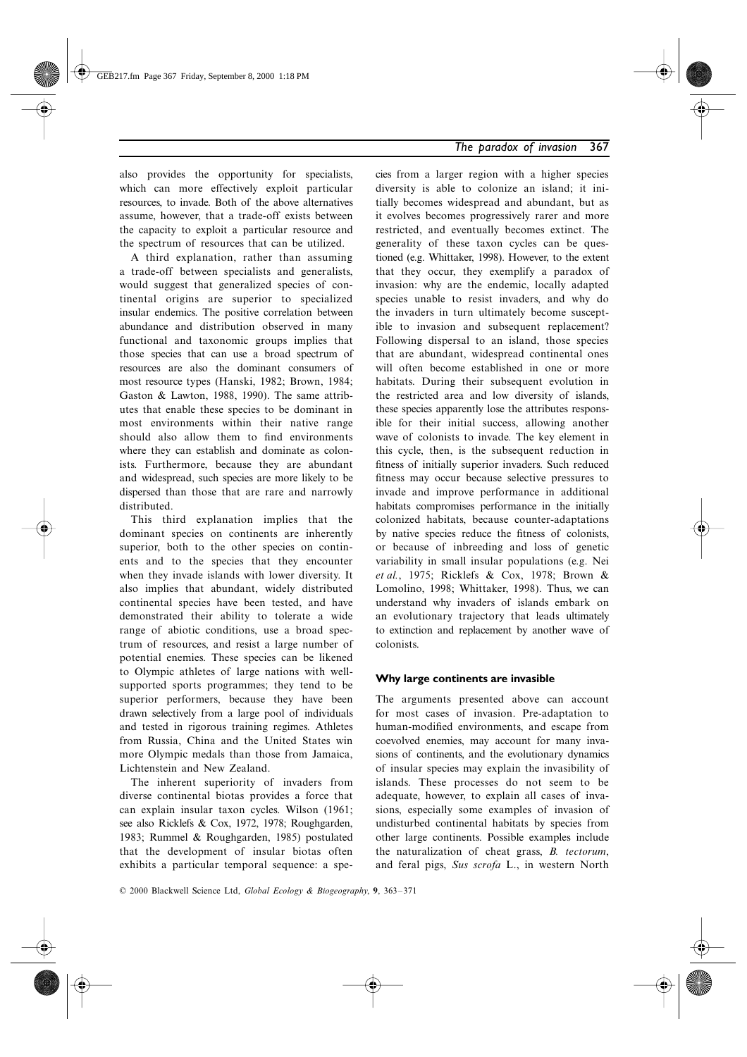also provides the opportunity for specialists, which can more effectively exploit particular resources, to invade. Both of the above alternatives assume, however, that a trade-off exists between the capacity to exploit a particular resource and the spectrum of resources that can be utilized.

A third explanation, rather than assuming a trade-off between specialists and generalists, would suggest that generalized species of continental origins are superior to specialized insular endemics. The positive correlation between abundance and distribution observed in many functional and taxonomic groups implies that those species that can use a broad spectrum of resources are also the dominant consumers of most resource types (Hanski, 1982; Brown, 1984; Gaston & Lawton, 1988, 1990). The same attributes that enable these species to be dominant in most environments within their native range should also allow them to find environments where they can establish and dominate as colonists. Furthermore, because they are abundant and widespread, such species are more likely to be dispersed than those that are rare and narrowly distributed.

This third explanation implies that the dominant species on continents are inherently superior, both to the other species on continents and to the species that they encounter when they invade islands with lower diversity. It also implies that abundant, widely distributed continental species have been tested, and have demonstrated their ability to tolerate a wide range of abiotic conditions, use a broad spectrum of resources, and resist a large number of potential enemies. These species can be likened to Olympic athletes of large nations with wellsupported sports programmes; they tend to be superior performers, because they have been drawn selectively from a large pool of individuals and tested in rigorous training regimes. Athletes from Russia, China and the United States win more Olympic medals than those from Jamaica, Lichtenstein and New Zealand.

The inherent superiority of invaders from diverse continental biotas provides a force that can explain insular taxon cycles. Wilson (1961; see also Ricklefs & Cox, 1972, 1978; Roughgarden, 1983; Rummel & Roughgarden, 1985) postulated that the development of insular biotas often exhibits a particular temporal sequence: a species from a larger region with a higher species diversity is able to colonize an island; it initially becomes widespread and abundant, but as it evolves becomes progressively rarer and more restricted, and eventually becomes extinct. The generality of these taxon cycles can be questioned (e.g. Whittaker, 1998). However, to the extent that they occur, they exemplify a paradox of invasion: why are the endemic, locally adapted species unable to resist invaders, and why do the invaders in turn ultimately become susceptible to invasion and subsequent replacement? Following dispersal to an island, those species that are abundant, widespread continental ones will often become established in one or more habitats. During their subsequent evolution in the restricted area and low diversity of islands, these species apparently lose the attributes responsible for their initial success, allowing another wave of colonists to invade. The key element in this cycle, then, is the subsequent reduction in fitness of initially superior invaders. Such reduced fitness may occur because selective pressures to invade and improve performance in additional habitats compromises performance in the initially colonized habitats, because counter-adaptations by native species reduce the fitness of colonists, or because of inbreeding and loss of genetic variability in small insular populations (e.g. Nei *et al.*, 1975; Ricklefs & Cox, 1978; Brown & Lomolino, 1998; Whittaker, 1998). Thus, we can understand why invaders of islands embark on an evolutionary trajectory that leads ultimately to extinction and replacement by another wave of colonists.

### **Why large continents are invasible**

The arguments presented above can account for most cases of invasion. Pre-adaptation to human-modified environments, and escape from coevolved enemies, may account for many invasions of continents, and the evolutionary dynamics of insular species may explain the invasibility of islands. These processes do not seem to be adequate, however, to explain all cases of invasions, especially some examples of invasion of undisturbed continental habitats by species from other large continents. Possible examples include the naturalization of cheat grass, *B. tectorum*, and feral pigs, *Sus scrofa* L., in western North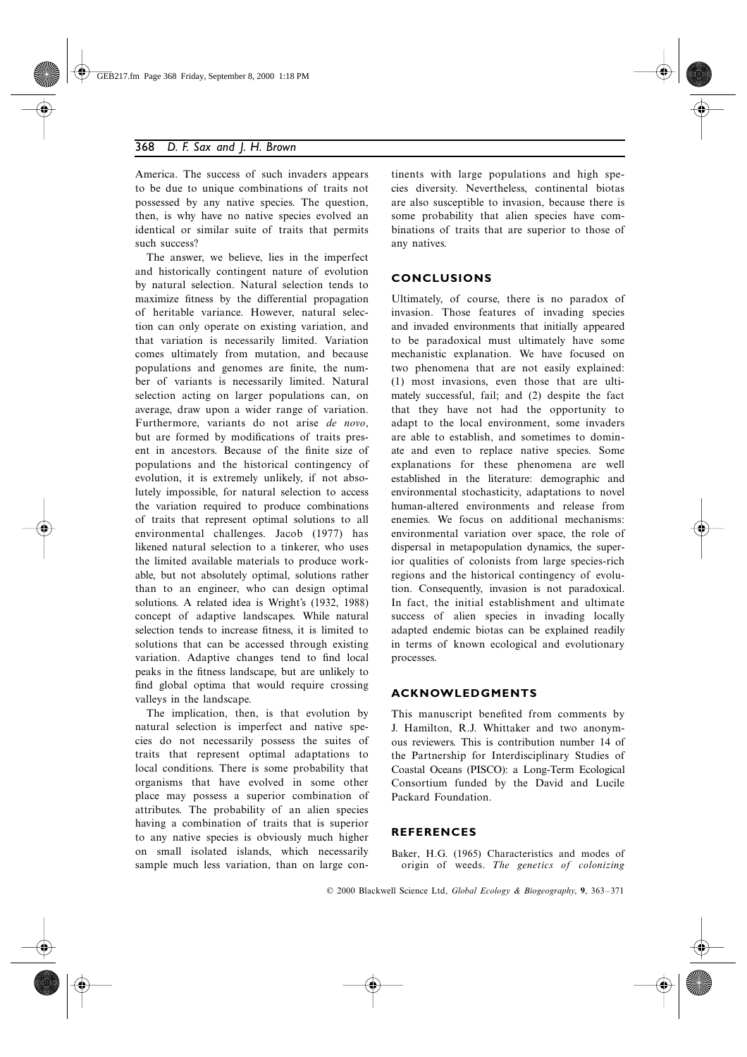America. The success of such invaders appears to be due to unique combinations of traits not possessed by any native species. The question, then, is why have no native species evolved an identical or similar suite of traits that permits such success?

The answer, we believe, lies in the imperfect and historically contingent nature of evolution by natural selection. Natural selection tends to maximize fitness by the differential propagation of heritable variance. However, natural selection can only operate on existing variation, and that variation is necessarily limited. Variation comes ultimately from mutation, and because populations and genomes are finite, the number of variants is necessarily limited. Natural selection acting on larger populations can, on average, draw upon a wider range of variation. Furthermore, variants do not arise *de novo*, but are formed by modifications of traits present in ancestors. Because of the finite size of populations and the historical contingency of evolution, it is extremely unlikely, if not absolutely impossible, for natural selection to access the variation required to produce combinations of traits that represent optimal solutions to all environmental challenges. Jacob (1977) has likened natural selection to a tinkerer, who uses the limited available materials to produce workable, but not absolutely optimal, solutions rather than to an engineer, who can design optimal solutions. A related idea is Wright's (1932, 1988) concept of adaptive landscapes. While natural selection tends to increase fitness, it is limited to solutions that can be accessed through existing variation. Adaptive changes tend to find local peaks in the fitness landscape, but are unlikely to find global optima that would require crossing valleys in the landscape.

The implication, then, is that evolution by natural selection is imperfect and native species do not necessarily possess the suites of traits that represent optimal adaptations to local conditions. There is some probability that organisms that have evolved in some other place may possess a superior combination of attributes. The probability of an alien species having a combination of traits that is superior to any native species is obviously much higher on small isolated islands, which necessarily sample much less variation, than on large continents with large populations and high species diversity. Nevertheless, continental biotas are also susceptible to invasion, because there is some probability that alien species have combinations of traits that are superior to those of any natives.

# **CONCLUSIONS**

Ultimately, of course, there is no paradox of invasion. Those features of invading species and invaded environments that initially appeared to be paradoxical must ultimately have some mechanistic explanation. We have focused on two phenomena that are not easily explained: (1) most invasions, even those that are ultimately successful, fail; and (2) despite the fact that they have not had the opportunity to adapt to the local environment, some invaders are able to establish, and sometimes to dominate and even to replace native species. Some explanations for these phenomena are well established in the literature: demographic and environmental stochasticity, adaptations to novel human-altered environments and release from enemies. We focus on additional mechanisms: environmental variation over space, the role of dispersal in metapopulation dynamics, the superior qualities of colonists from large species-rich regions and the historical contingency of evolution. Consequently, invasion is not paradoxical. In fact, the initial establishment and ultimate success of alien species in invading locally adapted endemic biotas can be explained readily in terms of known ecological and evolutionary processes.

### **ACKNOWLEDGMENTS**

This manuscript benefited from comments by J. Hamilton, R.J. Whittaker and two anonymous reviewers. This is contribution number 14 of the Partnership for Interdisciplinary Studies of Coastal Oceans (PISCO): a Long-Term Ecological Consortium funded by the David and Lucile Packard Foundation.

### **REFERENCES**

Baker, H.G. (1965) Characteristics and modes of origin of weeds. *The genetics of colonizing*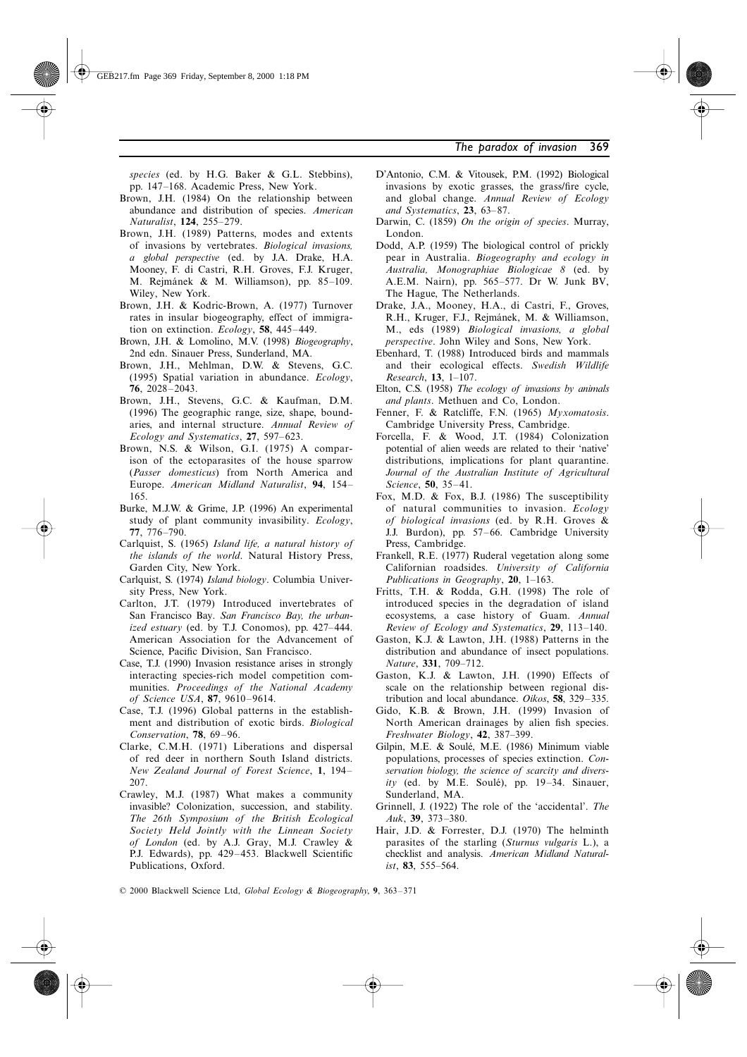*species* (ed. by H.G. Baker & G.L. Stebbins), pp. 147–168. Academic Press, New York.

- Brown, J.H. (1984) On the relationship between abundance and distribution of species. *American Naturalist*, **124**, 255–279.
- Brown, J.H. (1989) Patterns, modes and extents of invasions by vertebrates. *Biological invasions, a global perspective* (ed. by J.A. Drake, H.A. Mooney, F. di Castri, R.H. Groves, F.J. Kruger, M. Rejmánek & M. Williamson), pp. 85–109. Wiley, New York.
- Brown, J.H. & Kodric-Brown, A. (1977) Turnover rates in insular biogeography, effect of immigration on extinction. *Ecology*, **58**, 445–449.
- Brown, J.H. & Lomolino, M.V. (1998) *Biogeography*, 2nd edn. Sinauer Press, Sunderland, MA.
- Brown, J.H., Mehlman, D.W. & Stevens, G.C. (1995) Spatial variation in abundance. *Ecology*, **76**, 2028–2043.
- Brown, J.H., Stevens, G.C. & Kaufman, D.M. (1996) The geographic range, size, shape, boundaries, and internal structure. *Annual Review of Ecology and Systematics*, **27**, 597–623.
- Brown, N.S. & Wilson, G.I. (1975) A comparison of the ectoparasites of the house sparrow (*Passer domesticus*) from North America and Europe. *American Midland Naturalist*, **94**, 154– 165.
- Burke, M.J.W. & Grime, J.P. (1996) An experimental study of plant community invasibility. *Ecology*, **77**, 776–790.
- Carlquist, S. (1965) *Island life, a natural history of the islands of the world*. Natural History Press, Garden City, New York.
- Carlquist, S. (1974) *Island biology*. Columbia University Press, New York.
- Carlton, J.T. (1979) Introduced invertebrates of San Francisco Bay. *San Francisco Bay, the urbanized estuary* (ed. by T.J. Conomos), pp. 427–444. American Association for the Advancement of Science, Pacific Division, San Francisco.
- Case, T.J. (1990) Invasion resistance arises in strongly interacting species-rich model competition communities. *Proceedings of the National Academy of Science USA*, **87**, 9610–9614.
- Case, T.J. (1996) Global patterns in the establishment and distribution of exotic birds. *Biological Conservation*, **78**, 69–96.
- Clarke, C.M.H. (1971) Liberations and dispersal of red deer in northern South Island districts. *New Zealand Journal of Forest Science*, **1**, 194– 207.
- Crawley, M.J. (1987) What makes a community invasible? Colonization, succession, and stability. *The 26th Symposium of the British Ecological Society Held Jointly with the Linnean Society of London* (ed. by A.J. Gray, M.J. Crawley & P.J. Edwards), pp. 429–453. Blackwell Scientific Publications, Oxford.
- D'Antonio, C.M. & Vitousek, P.M. (1992) Biological invasions by exotic grasses, the grass/fire cycle, and global change. *Annual Review of Ecology and Systematics*, **23**, 63–87.
- Darwin, C. (1859) *On the origin of species*. Murray, London.
- Dodd, A.P. (1959) The biological control of prickly pear in Australia. *Biogeography and ecology in Australia, Monographiae Biologicae 8* (ed. by A.E.M. Nairn), pp. 565–577. Dr W. Junk BV, The Hague, The Netherlands.
- Drake, J.A., Mooney, H.A., di Castri, F., Groves, R.H., Kruger, F.J., Rejmánek, M. & Williamson, M., eds (1989) *Biological invasions, a global perspective*. John Wiley and Sons, New York.
- Ebenhard, T. (1988) Introduced birds and mammals and their ecological effects. *Swedish Wildlife Research*, **13**, 1–107.
- Elton, C.S. (1958) *The ecology of invasions by animals and plants*. Methuen and Co, London.
- Fenner, F. & Ratcliffe, F.N. (1965) *Myxomatosis*. Cambridge University Press, Cambridge.
- Forcella, F. & Wood, J.T. (1984) Colonization potential of alien weeds are related to their 'native' distributions, implications for plant quarantine. *Journal of the Australian Institute of Agricultural Science*, **50**, 35–41.
- Fox, M.D. & Fox, B.J. (1986) The susceptibility of natural communities to invasion. *Ecology of biological invasions* (ed. by R.H. Groves & J.J. Burdon), pp. 57–66. Cambridge University Press, Cambridge.
- Frankell, R.E. (1977) Ruderal vegetation along some Californian roadsides. *University of California Publications in Geography*, **20**, 1–163.
- Fritts, T.H. & Rodda, G.H. (1998) The role of introduced species in the degradation of island ecosystems, a case history of Guam. *Annual Review of Ecology and Systematics*, **29**, 113–140.
- Gaston, K.J. & Lawton, J.H. (1988) Patterns in the distribution and abundance of insect populations. *Nature*, **331**, 709–712.
- Gaston, K.J. & Lawton, J.H. (1990) Effects of scale on the relationship between regional distribution and local abundance. *Oikos*, **58**, 329–335.
- Gido, K.B. & Brown, J.H. (1999) Invasion of North American drainages by alien fish species. *Freshwater Biology*, **42**, 387–399.
- Gilpin, M.E. & Soulé, M.E. (1986) Minimum viable populations, processes of species extinction. *Conservation biology, the science of scarcity and diversity* (ed. by M.E. Soulé), pp. 19–34. Sinauer, Sunderland, MA.
- Grinnell, J. (1922) The role of the 'accidental'. *The Auk*, **39**, 373–380.
- Hair, J.D. & Forrester, D.J. (1970) The helminth parasites of the starling (*Sturnus vulgaris* L.), a checklist and analysis. *American Midland Naturalist*, **83**, 555–564.
- © 2000 Blackwell Science Ltd, *Global Ecology & Biogeography*, **9**, 363–371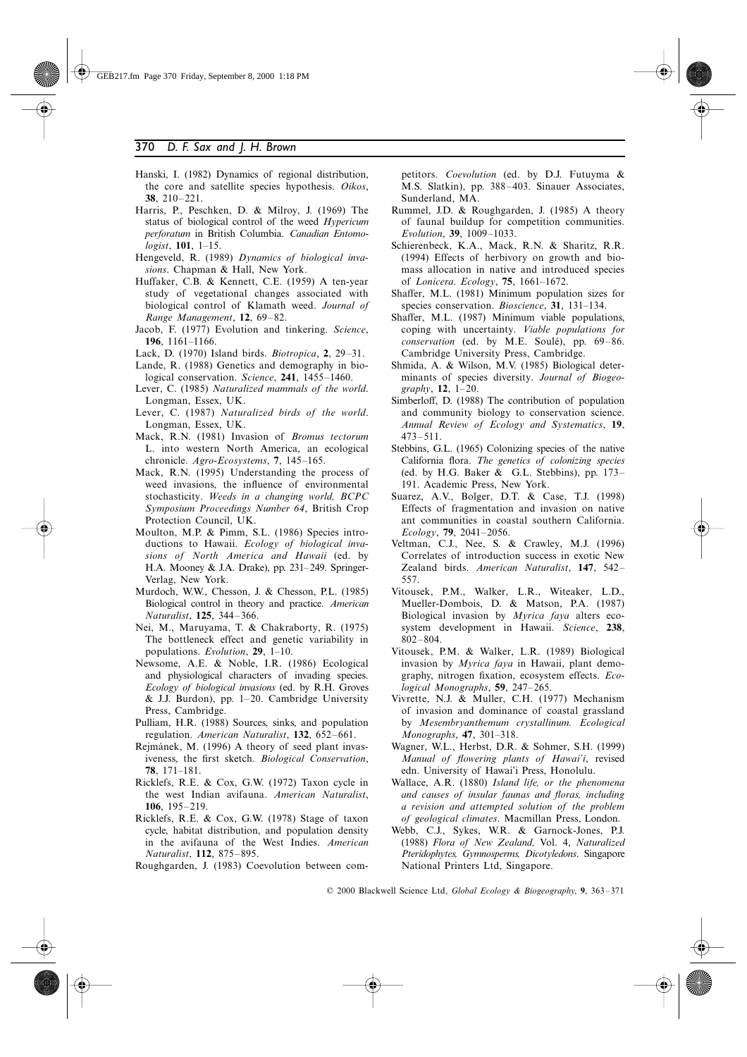- Hanski, I. (1982) Dynamics of regional distribution, the core and satellite species hypothesis. *Oikos*, **38**, 210–221.
- Harris, P., Peschken, D. & Milroy, J. (1969) The status of biological control of the weed *Hypericum perforatum* in British Columbia. *Canadian Entomologist*, **101**, 1–15.
- Hengeveld, R. (1989) *Dynamics of biological invasions*. Chapman & Hall, New York.
- Huffaker, C.B. & Kennett, C.E. (1959) A ten-year study of vegetational changes associated with biological control of Klamath weed. *Journal of Range Management*, **12**, 69–82.
- Jacob, F. (1977) Evolution and tinkering. *Science*, **196**, 1161–1166.
- Lack, D. (1970) Island birds. *Biotropica*, **2**, 29–31.
- Lande, R. (1988) Genetics and demography in biological conservation. *Science*, **241**, 1455–1460.
- Lever, C. (1985) *Naturalized mammals of the world*. Longman, Essex, UK.
- Lever, C. (1987) *Naturalized birds of the world*. Longman, Essex, UK.
- Mack, R.N. (1981) Invasion of *Bromus tectorum* L. into western North America, an ecological chronicle. *Agro-Ecosystems*, **7**, 145–165.
- Mack, R.N. (1995) Understanding the process of weed invasions, the influence of environmental stochasticity. *Weeds in a changing world, BCPC Symposium Proceedings Number 64*, British Crop Protection Council, UK.
- Moulton, M.P. & Pimm, S.L. (1986) Species introductions to Hawaii. *Ecology of biological invasions of North America and Hawaii* (ed. by H.A. Mooney & J.A. Drake), pp. 231–249. Springer-Verlag, New York.
- Murdoch, W.W., Chesson, J. & Chesson, P.L. (1985) Biological control in theory and practice. *American Naturalist*, **125**, 344–366.
- Nei, M., Maruyama, T. & Chakraborty, R. (1975) The bottleneck effect and genetic variability in populations. *Evolution*, **29**, 1–10.
- Newsome, A.E. & Noble, I.R. (1986) Ecological and physiological characters of invading species. *Ecology of biological invasions* (ed. by R.H. Groves & J.J. Burdon), pp. 1–20. Cambridge University Press, Cambridge.
- Pulliam, H.R. (1988) Sources, sinks, and population regulation. *American Naturalist*, **132**, 652–661.
- Rejmánek, M. (1996) A theory of seed plant invasiveness, the first sketch. *Biological Conservation*, **78**, 171–181.
- Ricklefs, R.E. & Cox, G.W. (1972) Taxon cycle in the west Indian avifauna. *American Naturalist*, **106**, 195–219.
- Ricklefs, R.E. & Cox, G.W. (1978) Stage of taxon cycle, habitat distribution, and population density in the avifauna of the West Indies. *American Naturalist*, **112**, 875–895.
- Roughgarden, J. (1983) Coevolution between com-

petitors. *Coevolution* (ed. by D.J. Futuyma & M.S. Slatkin), pp. 388–403. Sinauer Associates, Sunderland, MA.

- Rummel, J.D. & Roughgarden, J. (1985) A theory of faunal buildup for competition communities. *Evolution*, **39**, 1009–1033.
- Schierenbeck, K.A., Mack, R.N. & Sharitz, R.R. (1994) Effects of herbivory on growth and biomass allocation in native and introduced species of *Lonicera*. *Ecology*, **75**, 1661–1672.
- Shaffer, M.L. (1981) Minimum population sizes for species conservation. *Bioscience*, **31**, 131–134.
- Shaffer, M.L. (1987) Minimum viable populations, coping with uncertainty. *Viable populations for conservation* (ed. by M.E. Soulé), pp. 69–86. Cambridge University Press, Cambridge.
- Shmida, A. & Wilson, M.V. (1985) Biological determinants of species diversity. *Journal of Biogeography*, **12**, 1–20.
- Simberloff, D. (1988) The contribution of population and community biology to conservation science. *Annual Review of Ecology and Systematics*, **19**, 473–511.
- Stebbins, G.L. (1965) Colonizing species of the native California flora. *The genetics of colonizing species* (ed. by H.G. Baker & G.L. Stebbins), pp. 173– 191. Academic Press, New York.
- Suarez, A.V., Bolger, D.T. & Case, T.J. (1998) Effects of fragmentation and invasion on native ant communities in coastal southern California. *Ecology*, **79**, 2041–2056.
- Veltman, C.J., Nee, S. & Crawley, M.J. (1996) Correlates of introduction success in exotic New Zealand birds. *American Naturalist*, **147**, 542– 557.
- Vitousek, P.M., Walker, L.R., Witeaker, L.D., Mueller-Dombois, D. & Matson, P.A. (1987) Biological invasion by *Myrica faya* alters ecosystem development in Hawaii. *Science*, **238**, 802–804.
- Vitousek, P.M. & Walker, L.R. (1989) Biological invasion by *Myrica faya* in Hawaii, plant demography, nitrogen fixation, ecosystem effects. *Ecological Monographs*, **59**, 247–265.
- Vivrette, N.J. & Muller, C.H. (1977) Mechanism of invasion and dominance of coastal grassland by *Mesembryanthemum crystallinum. Ecological Monographs*, **47**, 301–318.
- Wagner, W.L., Herbst, D.R. & Sohmer, S.H. (1999) *Manual of flowering plants of Hawai'i*, revised edn. University of Hawai'i Press, Honolulu.
- Wallace, A.R. (1880) *Island life, or the phenomena and causes of insular faunas and floras, including a revision and attempted solution of the problem of geological climates*. Macmillan Press, London.
- Webb, C.J., Sykes, W.R. & Garnock-Jones, P.J. (1988) *Flora of New Zealand,* Vol. 4, *Naturalized Pteridophytes, Gymnosperms, Dicotyledons*. Singapore National Printers Ltd, Singapore.